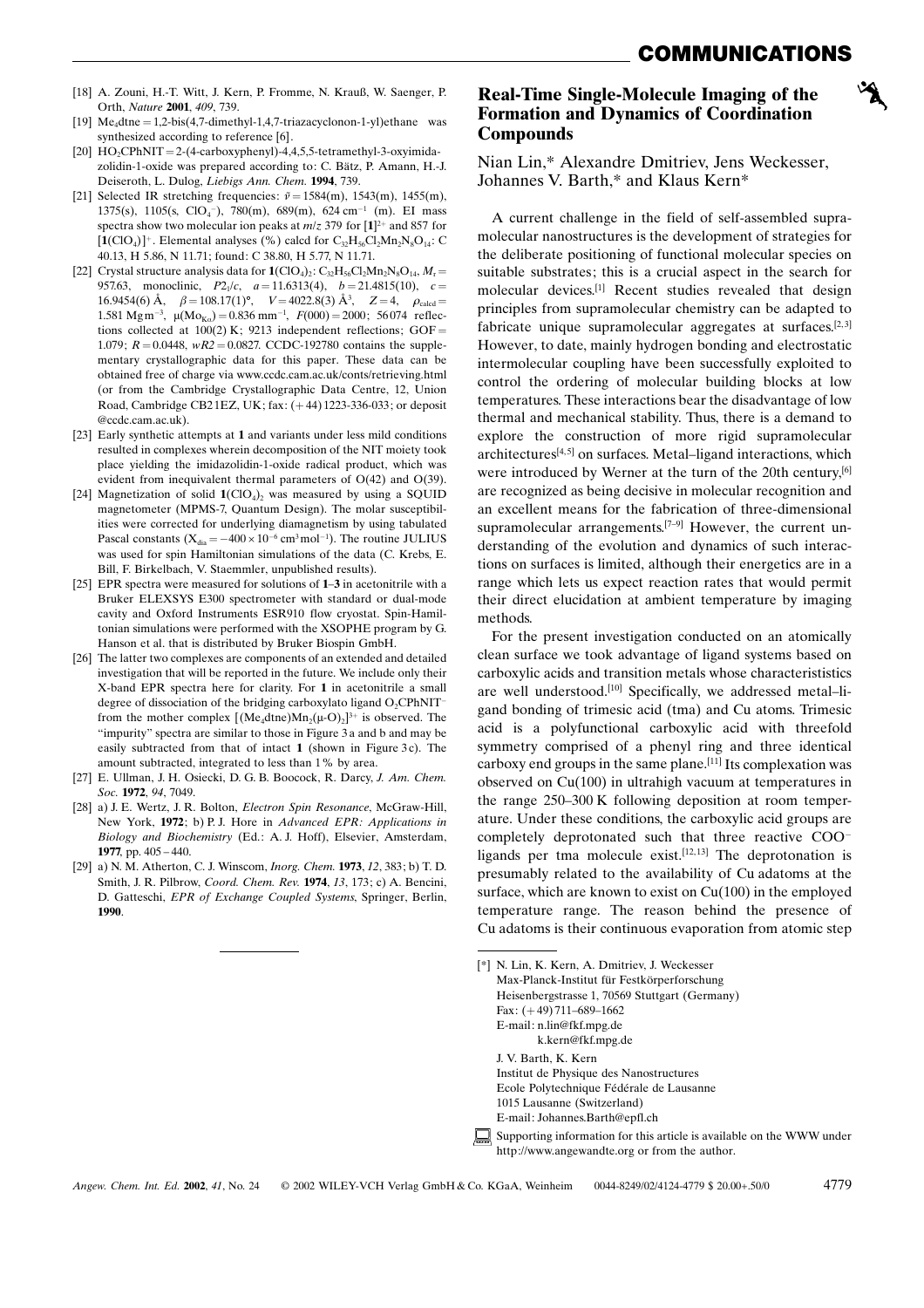- [18] A. Zouni, H.-T. Witt, J. Kern, P. Fromme, N. Krauß, W. Saenger, P. Orth, Nature 2001, 409, 739.
- $Me<sub>4</sub>dtne = 1,2-bis(4,7-dimethyl-1,4,7-triazacyclonon-1-yl)ethane was$ synthesized according to reference [6].
- [20]  $HO_2CPhNIT = 2-(4-carboxyphenyl)-4,4,5,5-tetramethyl-3-oxyimida$ zolidin-1-oxide was prepared according to: C. Bätz, P. Amann, H.-J. Deiseroth, L. Dulog, Liebigs Ann. Chem. 1994, 739.
- [21] Selected IR stretching frequencies:  $\tilde{v} = 1584(m)$ , 1543(m), 1455(m), 1375(s), 1105(s, ClO<sub>4</sub><sup>-</sup>), 780(m), 689(m), 624 cm<sup>-1</sup> (m). EI mass spectra show two molecular ion peaks at  $m/z$  379 for [1]<sup>2+</sup> and 857 for  $[1(CIO<sub>4</sub>)]<sup>+</sup>$ . Elemental analyses (%) calcd for  $C_{32}H_{56}Cl_2Mn_2N_8O_{14}$ : C 40.13, H 5.86, N 11.71; found: C 38.80, H 5.77, N 11.71.
- [22] Crystal structure analysis data for  $\mathbf{1}(\text{ClO}_4)_2$ : C<sub>32</sub>H<sub>56</sub>Cl<sub>2</sub>Mn<sub>2</sub>N<sub>8</sub>O<sub>14</sub>, M<sub>r</sub> = 957.63, monoclinic,  $P2_1/c$ ,  $a = 11.6313(4)$ ,  $b = 21.4815(10)$ ,  $c =$ 16.9454(6)  $\dot{A}$ ,  $\beta = 108.17(1)$ °,  $V = 4022.8(3) \dot{A}$ <sup>3</sup>,  $Z = 4$ ,  $\rho_{\text{caled}} =$ 1.581 Mg m<sup>-3</sup>,  $\mu$ (Mo<sub>Ka</sub>) = 0.836 mm<sup>-1</sup>,  $F(000) = 2000$ ; 56074 reflections collected at  $100(2)$  K; 9213 independent reflections; GOF = 1.079;  $R = 0.0448$ ,  $wR2 = 0.0827$ . CCDC-192780 contains the supplementary crystallographic data for this paper. These data can be obtained free of charge via www.ccdc.cam.ac.uk/conts/retrieving.html (or from the Cambridge Crystallographic Data Centre, 12, Union Road, Cambridge CB21EZ, UK; fax:  $(+44)$ 1223-336-033; or deposit @ccdc.cam.ac.uk).
- [23] Early synthetic attempts at 1 and variants under less mild conditions resulted in complexes wherein decomposition of the NIT moiety took place yielding the imidazolidin-1-oxide radical product, which was evident from inequivalent thermal parameters of O(42) and O(39).
- [24] Magnetization of solid  $1(CIO<sub>4</sub>)$ , was measured by using a SQUID magnetometer (MPMS-7, Quantum Design). The molar susceptibilities were corrected for underlying diamagnetism by using tabulated Pascal constants ( $X_{dia} = -400 \times 10^{-6}$  cm<sup>3</sup> mol<sup>-1</sup>). The routine JULIUS was used for spin Hamiltonian simulations of the data (C. Krebs, E. Bill, F. Birkelbach, V. Staemmler, unpublished results).
- [25] EPR spectra were measured for solutions of 1-3 in acetonitrile with a Bruker ELEXSYS E300 spectrometer with standard or dual-mode cavity and Oxford Instruments ESR910 flow cryostat. Spin-Hamiltonian simulations were performed with the XSOPHE program by G. Hanson et al. that is distributed by Bruker Biospin GmbH.
- [26] The latter two complexes are components of an extended and detailed investigation that will be reported in the future. We include only their X-band EPR spectra here for clarity. For 1 in acetonitrile a small degree of dissociation of the bridging carboxylato ligand  $O_2$ CPhNITfrom the mother complex  $[(Me<sub>4</sub>dtne)Mn<sub>2</sub>(\mu-O)<sub>2</sub>]^{3+}$  is observed. The ™impurity∫ spectra are similar to those in Figure 3 a and b and may be easily subtracted from that of intact 1 (shown in Figure 3c). The amount subtracted, integrated to less than 1% by area.
- [27] E. Ullman, J. H. Osiecki, D. G. B. Boocock, R. Darcy, J. Am. Chem. Soc. 1972, 94, 7049.
- [28] a) J. E. Wertz, J. R. Bolton, Electron Spin Resonance, McGraw-Hill, New York, 1972; b) P. J. Hore in Advanced EPR: Applications in Biology and Biochemistry (Ed.: A. J. Hoff), Elsevier, Amsterdam, 1977, pp.  $405 - 440$ .
- [29] a) N. M. Atherton, C. J. Winscom, Inorg. Chem. 1973, 12, 383; b) T. D. Smith, J. R. Pilbrow, Coord. Chem. Rev. 1974, 13, 173; c) A. Bencini, D. Gatteschi, EPR of Exchange Coupled Systems, Springer, Berlin, 1990.

### Real-Time Single-Molecule Imaging of the Formation and Dynamics of Coordination Compounds

Nian Lin,\* Alexandre Dmitriev, Jens Weckesser, Johannes V. Barth,\* and Klaus Kern\*

A current challenge in the field of self-assembled supramolecular nanostructures is the development of strategies for the deliberate positioning of functional molecular species on suitable substrates; this is a crucial aspect in the search for molecular devices.[1] Recent studies revealed that design principles from supramolecular chemistry can be adapted to fabricate unique supramolecular aggregates at surfaces.<sup>[2,3]</sup> However, to date, mainly hydrogen bonding and electrostatic intermolecular coupling have been successfully exploited to control the ordering of molecular building blocks at low temperatures. These interactions bear the disadvantage of low thermal and mechanical stability. Thus, there is a demand to explore the construction of more rigid supramolecular architectures<sup>[4,5]</sup> on surfaces. Metal-ligand interactions, which were introduced by Werner at the turn of the 20th century,<sup>[6]</sup> are recognized as being decisive in molecular recognition and an excellent means for the fabrication of three-dimensional supramolecular arrangements.<sup>[7 $-9$ ]</sup> However, the current understanding of the evolution and dynamics of such interactions on surfaces is limited, although their energetics are in a range which lets us expect reaction rates that would permit their direct elucidation at ambient temperature by imaging methods.

For the present investigation conducted on an atomically clean surface we took advantage of ligand systems based on carboxylic acids and transition metals whose characterististics are well understood.<sup>[10]</sup> Specifically, we addressed metal-ligand bonding of trimesic acid (tma) and Cu atoms. Trimesic acid is a polyfunctional carboxylic acid with threefold symmetry comprised of a phenyl ring and three identical carboxy end groups in the same plane.<sup>[11]</sup> Its complexation was observed on Cu(100) in ultrahigh vacuum at temperatures in the range  $250-300$  K following deposition at room temperature. Under these conditions, the carboxylic acid groups are completely deprotonated such that three reactive COO ligands per tma molecule exist.<sup>[12,13]</sup> The deprotonation is presumably related to the availability of Cu adatoms at the surface, which are known to exist on Cu(100) in the employed temperature range. The reason behind the presence of Cu adatoms is their continuous evaporation from atomic step

<sup>[\*]</sup> N. Lin, K. Kern, A. Dmitriev, J. Weckesser Max-Planck-Institut für Festkörperforschung Heisenbergstrasse 1, 70569 Stuttgart (Germany) Fax:  $(+49)$  711-689-1662 E-mail: n.lin@fkf.mpg.de k.kern@fkf.mpg.de J. V. Barth, K. Kern Institut de Physique des Nanostructures Ecole Polytechnique Fédérale de Lausanne 1015 Lausanne (Switzerland) E-mail: Johannes.Barth@epfl.ch Supporting information for this article is available on the WWW under http://www.angewandte.org or from the author.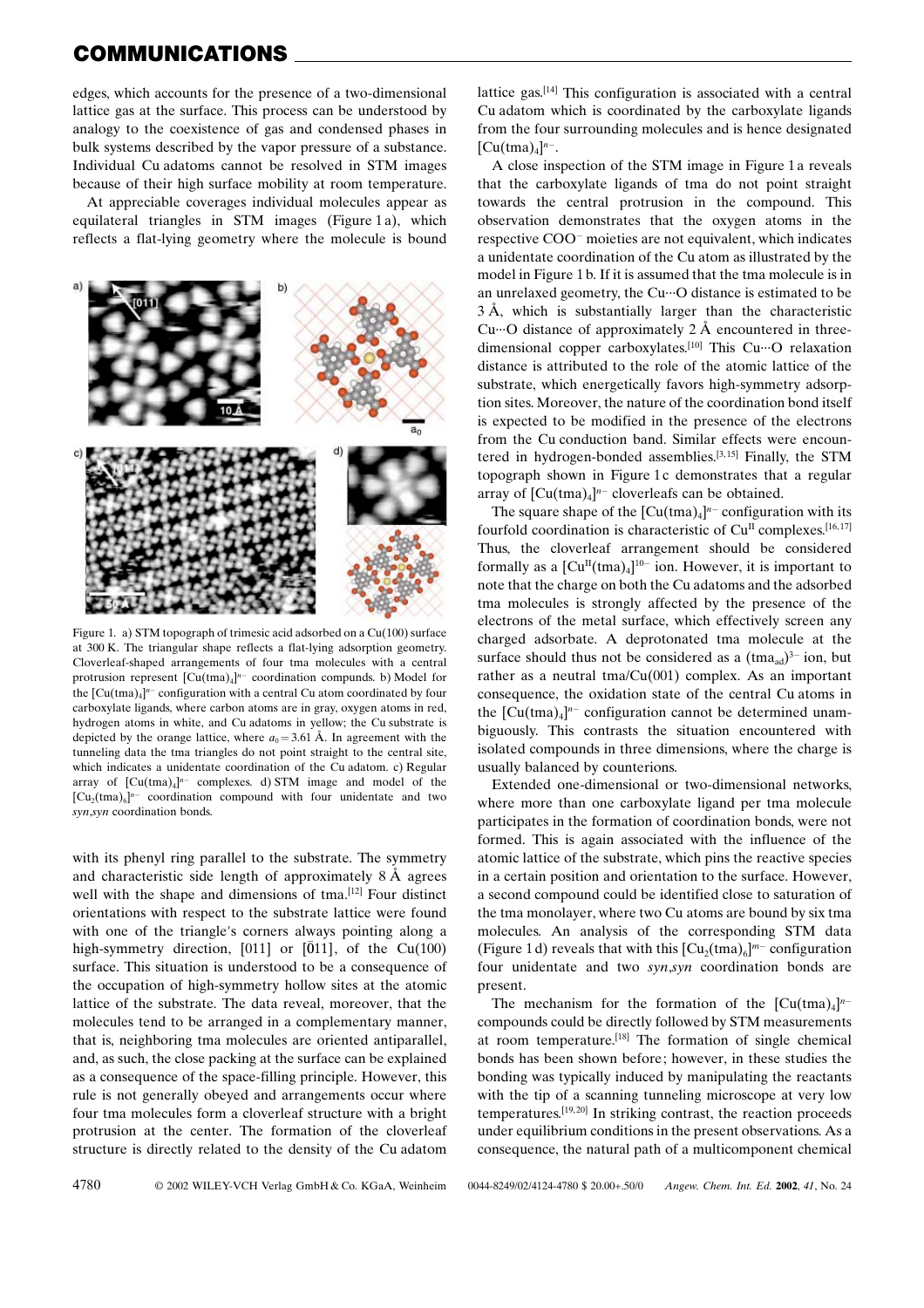# COMMUNICATIONS

edges, which accounts for the presence of a two-dimensional lattice gas at the surface. This process can be understood by analogy to the coexistence of gas and condensed phases in bulk systems described by the vapor pressure of a substance. Individual Cu adatoms cannot be resolved in STM images because of their high surface mobility at room temperature.

At appreciable coverages individual molecules appear as equilateral triangles in STM images (Figure 1 a), which reflects a flat-lying geometry where the molecule is bound



Figure 1. a) STM topograph of trimesic acid adsorbed on a Cu(100) surface at 300 K. The triangular shape reflects a flat-lying adsorption geometry. Cloverleaf-shaped arrangements of four tma molecules with a central protrusion represent  $[Cu(tma)_4]^{n-}$  coordination compunds. b) Model for the  $\left[\mathrm{Cu}(\mathrm{tma})_{4}\right]^{n-}$  configuration with a central Cu atom coordinated by four carboxylate ligands, where carbon atoms are in gray, oxygen atoms in red, hydrogen atoms in white, and Cu adatoms in yellow; the Cu substrate is depicted by the orange lattice, where  $a_0 = 3.61 \text{ Å}$ . In agreement with the tunneling data the tma triangles do not point straight to the central site, which indicates a unidentate coordination of the Cu adatom. c) Regular array of  $[Cu(tma)_4]^{n-}$  complexes. d) STM image and model of the  $[Cu<sub>2</sub>(tma)<sub>6</sub>]<sup>n-</sup>$  coordination compound with four unidentate and two syn,syn coordination bonds.

with its phenyl ring parallel to the substrate. The symmetry and characteristic side length of approximately  $8 \text{ Å}$  agrees well with the shape and dimensions of tma.<sup>[12]</sup> Four distinct orientations with respect to the substrate lattice were found with one of the triangle's corners always pointing along a high-symmetry direction, [011] or  $[011]$ , of the Cu(100) surface. This situation is understood to be a consequence of the occupation of high-symmetry hollow sites at the atomic lattice of the substrate. The data reveal, moreover, that the molecules tend to be arranged in a complementary manner, that is, neighboring tma molecules are oriented antiparallel, and, as such, the close packing at the surface can be explained as a consequence of the space-filling principle. However, this rule is not generally obeyed and arrangements occur where four tma molecules form a cloverleaf structure with a bright protrusion at the center. The formation of the cloverleaf structure is directly related to the density of the Cu adatom

lattice gas.[14] This configuration is associated with a central Cu adatom which is coordinated by the carboxylate ligands from the four surrounding molecules and is hence designated  $[Cu(tma)<sub>4</sub>]<sup>n-</sup>.$ 

A close inspection of the STM image in Figure 1 a reveals that the carboxylate ligands of tma do not point straight towards the central protrusion in the compound. This observation demonstrates that the oxygen atoms in the respective COO<sup>-</sup> moieties are not equivalent, which indicates a unidentate coordination of the Cu atom as illustrated by the model in Figure 1 b. If it is assumed that the tma molecule is in an unrelaxed geometry, the Cu $\cdots$ O distance is estimated to be 3 ä, which is substantially larger than the characteristic Cu $\cdots$ O distance of approximately 2 Å encountered in threedimensional copper carboxylates.<sup>[10]</sup> This Cu $\cdots$ O relaxation distance is attributed to the role of the atomic lattice of the substrate, which energetically favors high-symmetry adsorption sites. Moreover, the nature of the coordination bond itself is expected to be modified in the presence of the electrons from the Cu conduction band. Similar effects were encountered in hydrogen-bonded assemblies.<sup>[3,15]</sup> Finally, the STM topograph shown in Figure 1c demonstrates that a regular array of  $[Cu(tma)_4]^{n-}$  cloverleafs can be obtained.

The square shape of the  $[Cu(tma)_4]^{n-}$  configuration with its fourfold coordination is characteristic of  $Cu<sup>H</sup>$  complexes.<sup>[16,17]</sup> Thus, the cloverleaf arrangement should be considered formally as a  $[Cu<sup>H</sup>(tma)<sub>4</sub>]^{10-}$  ion. However, it is important to note that the charge on both the Cu adatoms and the adsorbed tma molecules is strongly affected by the presence of the electrons of the metal surface, which effectively screen any charged adsorbate. A deprotonated tma molecule at the surface should thus not be considered as a  $(\text{tma}_{ad})^{3-}$  ion, but rather as a neutral tma/Cu(001) complex. As an important consequence, the oxidation state of the central Cu atoms in the  $\left[\text{Cu}(\text{tma})_4\right]^{n-}$  configuration cannot be determined unambiguously. This contrasts the situation encountered with isolated compounds in three dimensions, where the charge is usually balanced by counterions.

Extended one-dimensional or two-dimensional networks, where more than one carboxylate ligand per tma molecule participates in the formation of coordination bonds, were not formed. This is again associated with the influence of the atomic lattice of the substrate, which pins the reactive species in a certain position and orientation to the surface. However, a second compound could be identified close to saturation of the tma monolayer, where two Cu atoms are bound by six tma molecules. An analysis of the corresponding STM data (Figure 1 d) reveals that with this  $\left[\text{Cu}_2(\text{tma})_6\right]^{m-}$  configuration four unidentate and two syn,syn coordination bonds are present.

The mechanism for the formation of the  $[Cu(tma)_4]^{n-}$ compounds could be directly followed by STM measurements at room temperature.[18] The formation of single chemical bonds has been shown before; however, in these studies the bonding was typically induced by manipulating the reactants with the tip of a scanning tunneling microscope at very low temperatures.<sup>[19, 20]</sup> In striking contrast, the reaction proceeds under equilibrium conditions in the present observations. As a consequence, the natural path of a multicomponent chemical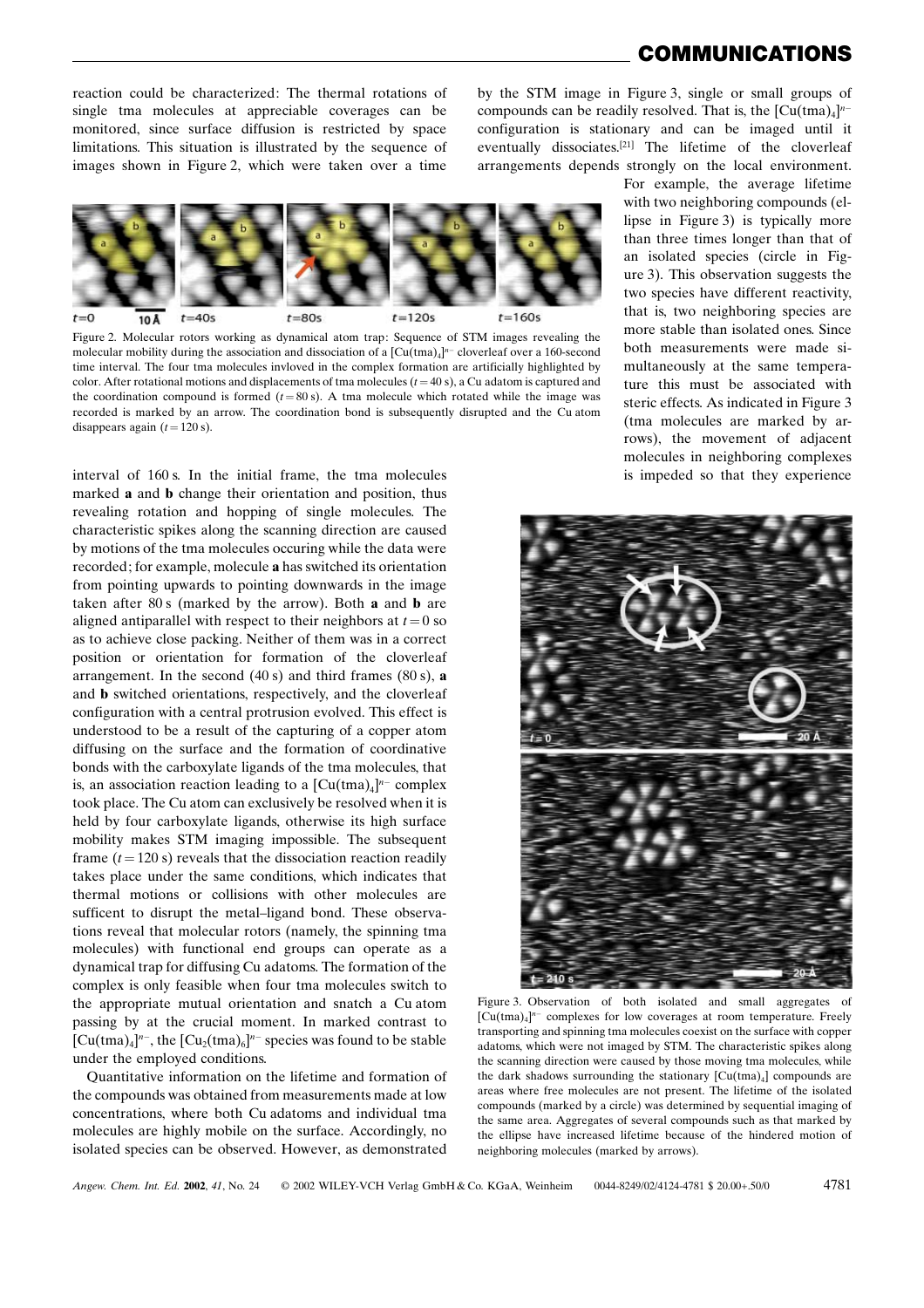## COMMUNICATIONS

reaction could be characterized: The thermal rotations of single tma molecules at appreciable coverages can be monitored, since surface diffusion is restricted by space limitations. This situation is illustrated by the sequence of images shown in Figure 2, which were taken over a time

by the STM image in Figure 3, single or small groups of compounds can be readily resolved. That is, the  $[Cu(tma)_4]^{n-1}$ configuration is stationary and can be imaged until it eventually dissociates.[21] The lifetime of the cloverleaf arrangements depends strongly on the local environment.



Figure 2. Molecular rotors working as dynamical atom trap: Sequence of STM images revealing the molecular mobility during the association and dissociation of a  $\text{[Cu(tma)]}^{n}$  cloverleaf over a 160-second time interval. The four tma molecules invloved in the complex formation are artificially highlighted by color. After rotational motions and displacements of tma molecules  $(t = 40 \text{ s})$ , a Cu adatom is captured and the coordination compound is formed  $(t = 80 \text{ s})$ . A tma molecule which rotated while the image was recorded is marked by an arrow. The coordination bond is subsequently disrupted and the Cu atom disappears again  $(t = 120 \text{ s})$ .

interval of 160 s. In the initial frame, the tma molecules marked a and b change their orientation and position, thus revealing rotation and hopping of single molecules. The characteristic spikes along the scanning direction are caused by motions of the tma molecules occuring while the data were recorded; for example, molecule a has switched its orientation from pointing upwards to pointing downwards in the image taken after 80 s (marked by the arrow). Both a and b are aligned antiparallel with respect to their neighbors at  $t = 0$  so as to achieve close packing. Neither of them was in a correct position or orientation for formation of the cloverleaf arrangement. In the second  $(40 s)$  and third frames  $(80 s)$ , a and b switched orientations, respectively, and the cloverleaf configuration with a central protrusion evolved. This effect is understood to be a result of the capturing of a copper atom diffusing on the surface and the formation of coordinative bonds with the carboxylate ligands of the tma molecules, that is, an association reaction leading to a  $[Cu(tma)_4]^{n-}$  complex took place. The Cu atom can exclusively be resolved when it is held by four carboxylate ligands, otherwise its high surface mobility makes STM imaging impossible. The subsequent frame  $(t = 120 \text{ s})$  reveals that the dissociation reaction readily takes place under the same conditions, which indicates that thermal motions or collisions with other molecules are sufficent to disrupt the metal-ligand bond. These observations reveal that molecular rotors (namely, the spinning tma molecules) with functional end groups can operate as a dynamical trap for diffusing Cu adatoms. The formation of the complex is only feasible when four tma molecules switch to the appropriate mutual orientation and snatch a Cu atom passing by at the crucial moment. In marked contrast to  $[Cu(tma)<sub>4</sub>]<sup>n-</sup>, the [Cu<sub>2</sub>(tma)<sub>6</sub>]<sup>n-</sup> species was found to be stable$ under the employed conditions.

Quantitative information on the lifetime and formation of the compounds was obtained from measurements made at low concentrations, where both Cu adatoms and individual tma molecules are highly mobile on the surface. Accordingly, no isolated species can be observed. However, as demonstrated

For example, the average lifetime with two neighboring compounds (ellipse in Figure 3) is typically more than three times longer than that of an isolated species (circle in Figure 3). This observation suggests the two species have different reactivity, that is, two neighboring species are more stable than isolated ones. Since both measurements were made simultaneously at the same temperature this must be associated with steric effects. As indicated in Figure 3 (tma molecules are marked by arrows), the movement of adjacent molecules in neighboring complexes is impeded so that they experience



Figure 3. Observation of both isolated and small aggregates of  $[Cu(tma)_4]^{n-}$  complexes for low coverages at room temperature. Freely transporting and spinning tma molecules coexist on the surface with copper adatoms, which were not imaged by STM. The characteristic spikes along the scanning direction were caused by those moving tma molecules, while the dark shadows surrounding the stationary  $[Cu(tma)_4]$  compounds are areas where free molecules are not present. The lifetime of the isolated compounds (marked by a circle) was determined by sequential imaging of the same area. Aggregates of several compounds such as that marked by the ellipse have increased lifetime because of the hindered motion of neighboring molecules (marked by arrows).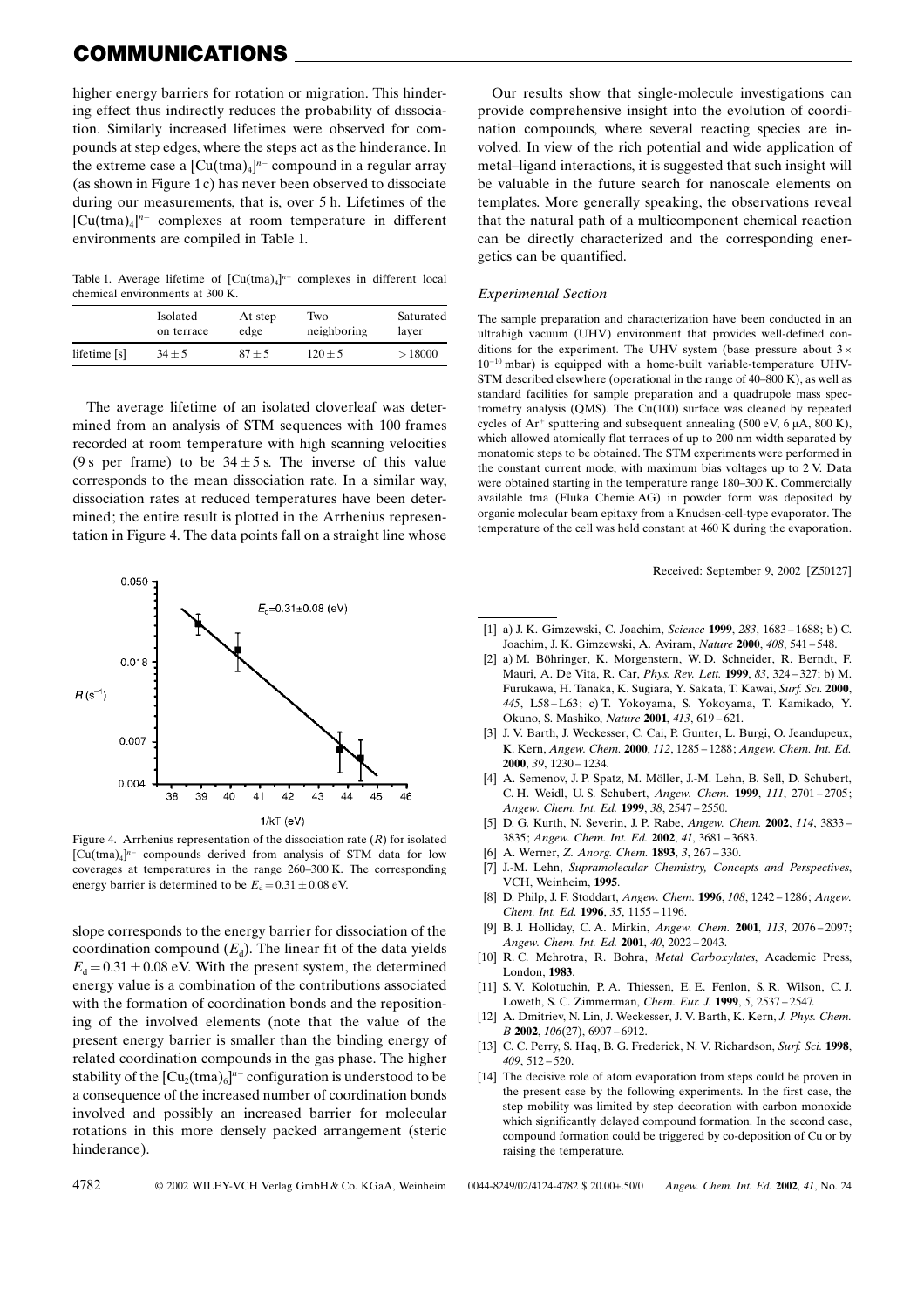# COMMUNICATIONS

higher energy barriers for rotation or migration. This hindering effect thus indirectly reduces the probability of dissociation. Similarly increased lifetimes were observed for compounds at step edges, where the steps act as the hinderance. In the extreme case a  $[Cu(tma)_4]^{n-}$  compound in a regular array (as shown in Figure 1 c) has never been observed to dissociate during our measurements, that is, over 5 h. Lifetimes of the  $[Cu(tma)_4]^{n-}$  complexes at room temperature in different environments are compiled in Table 1.

Table 1. Average lifetime of  $[Cu(tma)_4]^{n-}$  complexes in different local chemical environments at 300 K.

|              | Isolated   | At step  | Two         | Saturated |
|--------------|------------|----------|-------------|-----------|
|              | on terrace | edge     | neighboring | layer     |
| lifetime [s] | $34 \pm 5$ | $87 + 5$ | $120 + 5$   | >18000    |

The average lifetime of an isolated cloverleaf was determined from an analysis of STM sequences with 100 frames recorded at room temperature with high scanning velocities (9 s per frame) to be  $34 \pm 5$  s. The inverse of this value corresponds to the mean dissociation rate. In a similar way, dissociation rates at reduced temperatures have been determined; the entire result is plotted in the Arrhenius representation in Figure 4. The data points fall on a straight line whose



Figure 4. Arrhenius representation of the dissociation rate  $(R)$  for isolated  $[Cu(tma)_4]^{n-}$  compounds derived from analysis of STM data for low coverages at temperatures in the range 260-300 K. The corresponding energy barrier is determined to be  $E_d = 0.31 \pm 0.08$  eV.

slope corresponds to the energy barrier for dissociation of the coordination compound  $(E_d)$ . The linear fit of the data yields  $E_d = 0.31 \pm 0.08$  eV. With the present system, the determined energy value is a combination of the contributions associated with the formation of coordination bonds and the repositioning of the involved elements (note that the value of the present energy barrier is smaller than the binding energy of related coordination compounds in the gas phase. The higher stability of the  $\text{[Cu}_2(\text{tma})_6\text{]}^n$  configuration is understood to be a consequence of the increased number of coordination bonds involved and possibly an increased barrier for molecular rotations in this more densely packed arrangement (steric hinderance).

Our results show that single-molecule investigations can provide comprehensive insight into the evolution of coordination compounds, where several reacting species are involved. In view of the rich potential and wide application of metal-ligand interactions, it is suggested that such insight will be valuable in the future search for nanoscale elements on templates. More generally speaking, the observations reveal that the natural path of a multicomponent chemical reaction can be directly characterized and the corresponding energetics can be quantified.

#### Experimental Section

The sample preparation and characterization have been conducted in an ultrahigh vacuum (UHV) environment that provides well-defined conditions for the experiment. The UHV system (base pressure about  $3 \times$  $10^{-10}$  mbar) is equipped with a home-built variable-temperature UHV-STM described elsewhere (operational in the range of  $40-800$  K), as well as standard facilities for sample preparation and a quadrupole mass spectrometry analysis (QMS). The Cu(100) surface was cleaned by repeated cycles of  $Ar^+$  sputtering and subsequent annealing (500 eV, 6  $\mu$ A, 800 K), which allowed atomically flat terraces of up to 200 nm width separated by monatomic steps to be obtained. The STM experiments were performed in the constant current mode, with maximum bias voltages up to 2 V. Data were obtained starting in the temperature range 180-300 K. Commercially available tma (Fluka Chemie AG) in powder form was deposited by organic molecular beam epitaxy from a Knudsen-cell-type evaporator. The temperature of the cell was held constant at 460 K during the evaporation.

Received: September 9, 2002 [Z50127]

- [1] a) J. K. Gimzewski, C. Joachim, Science 1999, 283, 1683 1688; b) C. Joachim, J. K. Gimzewski, A. Aviram, Nature 2000, 408, 541-548.
- [2] a) M. Böhringer, K. Morgenstern, W. D. Schneider, R. Berndt, F. Mauri, A. De Vita, R. Car, *Phys. Rev. Lett.* **1999**, 83, 324-327; b) M. Furukawa, H. Tanaka, K. Sugiara, Y. Sakata, T. Kawai, Surf. Sci. 2000, 445, L58-L63; c) T. Yokoyama, S. Yokoyama, T. Kamikado, Y. Okuno, S. Mashiko, Nature 2001, 413, 619-621.
- [3] J. V. Barth, J. Weckesser, C. Cai, P. Gunter, L. Burgi, O. Jeandupeux, K. Kern, Angew. Chem. 2000, 112, 1285 - 1288; Angew. Chem. Int. Ed.  $2000, 39, 1230 - 1234.$
- [4] A. Semenov, J. P. Spatz, M. Möller, J.-M. Lehn, B. Sell, D. Schubert, C. H. Weidl, U. S. Schubert, Angew. Chem. 1999, 111, 2701-2705; Angew. Chem. Int. Ed. 1999, 38, 2547-2550.
- [5] D. G. Kurth, N. Severin, J. P. Rabe, Angew. Chem. 2002, 114, 3833-3835; Angew. Chem. Int. Ed. 2002, 41, 3681 - 3683.
- [6] A. Werner, Z. Anorg. Chem. 1893, 3, 267-330.
- J.-M. Lehn, Supramolecular Chemistry, Concepts and Perspectives, VCH, Weinheim, 1995.
- [8] D. Philp, J. F. Stoddart, Angew. Chem. 1996, 108, 1242 1286; Angew. Chem. Int. Ed. 1996, 35, 1155 - 1196.
- [9] B. J. Holliday, C. A. Mirkin, Angew. Chem. 2001, 113, 2076-2097; Angew. Chem. Int. Ed. 2001, 40, 2022-2043.
- [10] R. C. Mehrotra, R. Bohra, Metal Carboxylates, Academic Press, London, 1983.
- [11] S. V. Kolotuchin, P. A. Thiessen, E. E. Fenlon, S. R. Wilson, C. J. Loweth, S. C. Zimmerman, Chem. Eur. J. 1999, 5, 2537-2547.
- [12] A. Dmitriev, N. Lin, J. Weckesser, J. V. Barth, K. Kern, J. Phys. Chem.  $B$  2002, 106(27), 6907 - 6912.
- [13] C. C. Perry, S. Haq, B. G. Frederick, N. V. Richardson, Surf. Sci. 1998,  $409.512 - 520.$
- [14] The decisive role of atom evaporation from steps could be proven in the present case by the following experiments. In the first case, the step mobility was limited by step decoration with carbon monoxide which significantly delayed compound formation. In the second case, compound formation could be triggered by co-deposition of Cu or by raising the temperature.